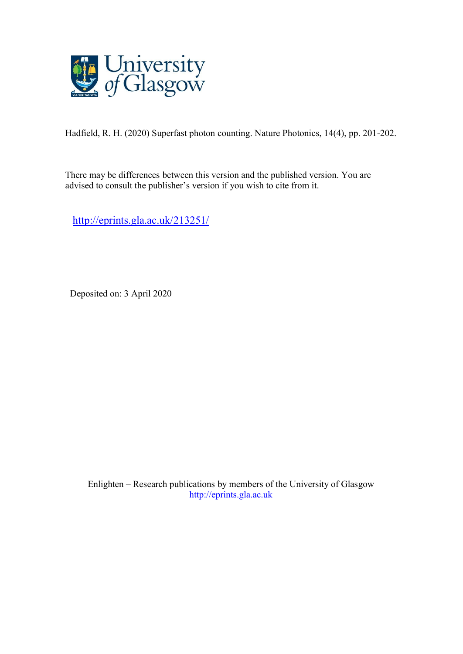

Hadfield, R. H. (2020) Superfast photon counting. Nature Photonics, 14(4), pp. 201-202.

There may be differences between this version and the published version. You are advised to consult the publisher's version if you wish to cite from it.

[http://eprints.gla.ac.uk/213251/](http://eprints.gla.ac.uk/212479/)

Deposited on: 3 April 2020

Enlighten – Research publications by members of the University of Glasgow [http://eprints.gla.ac.uk](http://eprints.gla.ac.uk/)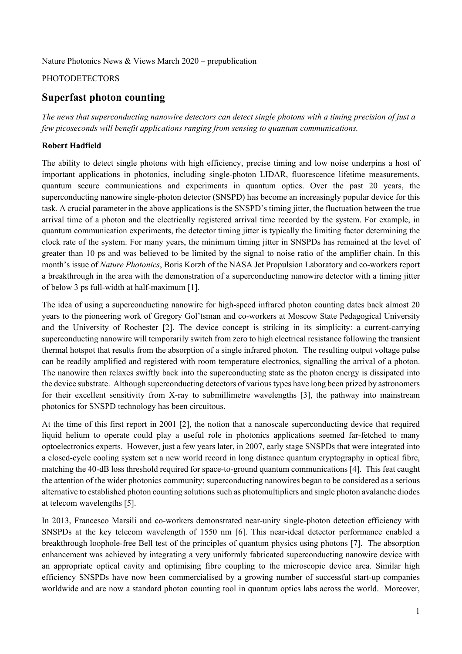Nature Photonics News & Views March 2020 – prepublication

## **PHOTODETECTORS**

# **Superfast photon counting**

*The news that superconducting nanowire detectors can detect single photons with a timing precision of just a few picoseconds will benefit applications ranging from sensing to quantum communications.* 

### **Robert Hadfield**

The ability to detect single photons with high efficiency, precise timing and low noise underpins a host of important applications in photonics, including single-photon LIDAR, fluorescence lifetime measurements, quantum secure communications and experiments in quantum optics. Over the past 20 years, the superconducting nanowire single-photon detector (SNSPD) has become an increasingly popular device for this task. A crucial parameter in the above applications is the SNSPD's timing jitter, the fluctuation between the true arrival time of a photon and the electrically registered arrival time recorded by the system. For example, in quantum communication experiments, the detector timing jitter is typically the limiting factor determining the clock rate of the system. For many years, the minimum timing jitter in SNSPDs has remained at the level of greater than 10 ps and was believed to be limited by the signal to noise ratio of the amplifier chain. In this month's issue of *Nature Photonics*, Boris Korzh of the NASA Jet Propulsion Laboratory and co-workers report a breakthrough in the area with the demonstration of a superconducting nanowire detector with a timing jitter of below 3 ps full-width at half-maximum [1].

The idea of using a superconducting nanowire for high-speed infrared photon counting dates back almost 20 years to the pioneering work of Gregory Gol'tsman and co-workers at Moscow State Pedagogical University and the University of Rochester [2]. The device concept is striking in its simplicity: a current-carrying superconducting nanowire will temporarily switch from zero to high electrical resistance following the transient thermal hotspot that results from the absorption of a single infrared photon. The resulting output voltage pulse can be readily amplified and registered with room temperature electronics, signalling the arrival of a photon. The nanowire then relaxes swiftly back into the superconducting state as the photon energy is dissipated into the device substrate. Although superconducting detectors of various types have long been prized by astronomers for their excellent sensitivity from X-ray to submillimetre wavelengths [3], the pathway into mainstream photonics for SNSPD technology has been circuitous.

At the time of this first report in 2001 [2], the notion that a nanoscale superconducting device that required liquid helium to operate could play a useful role in photonics applications seemed far-fetched to many optoelectronics experts. However, just a few years later, in 2007, early stage SNSPDs that were integrated into a closed-cycle cooling system set a new world record in long distance quantum cryptography in optical fibre, matching the 40-dB loss threshold required for space-to-ground quantum communications [4]. This feat caught the attention of the wider photonics community; superconducting nanowires began to be considered as a serious alternative to established photon counting solutions such as photomultipliers and single photon avalanche diodes at telecom wavelengths [5].

In 2013, Francesco Marsili and co-workers demonstrated near-unity single-photon detection efficiency with SNSPDs at the key telecom wavelength of 1550 nm [6]. This near-ideal detector performance enabled a breakthrough loophole-free Bell test of the principles of quantum physics using photons [7]. The absorption enhancement was achieved by integrating a very uniformly fabricated superconducting nanowire device with an appropriate optical cavity and optimising fibre coupling to the microscopic device area. Similar high efficiency SNSPDs have now been commercialised by a growing number of successful start-up companies worldwide and are now a standard photon counting tool in quantum optics labs across the world. Moreover,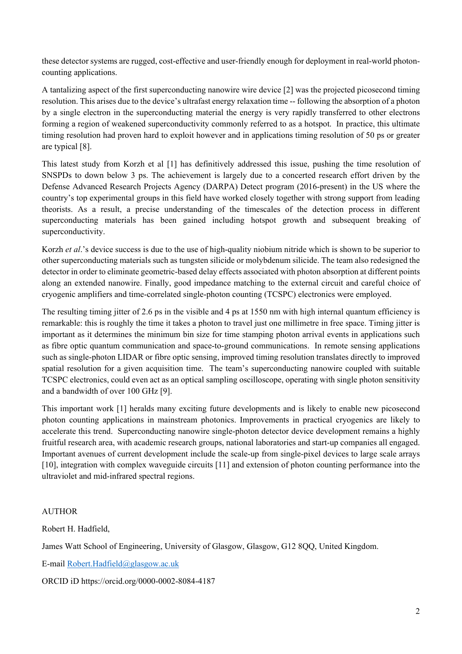these detector systems are rugged, cost-effective and user-friendly enough for deployment in real-world photoncounting applications.

A tantalizing aspect of the first superconducting nanowire wire device [2] was the projected picosecond timing resolution. This arises due to the device's ultrafast energy relaxation time -- following the absorption of a photon by a single electron in the superconducting material the energy is very rapidly transferred to other electrons forming a region of weakened superconductivity commonly referred to as a hotspot. In practice, this ultimate timing resolution had proven hard to exploit however and in applications timing resolution of 50 ps or greater are typical [8].

This latest study from Korzh et al [1] has definitively addressed this issue, pushing the time resolution of SNSPDs to down below 3 ps. The achievement is largely due to a concerted research effort driven by the Defense Advanced Research Projects Agency (DARPA) Detect program (2016-present) in the US where the country's top experimental groups in this field have worked closely together with strong support from leading theorists. As a result, a precise understanding of the timescales of the detection process in different superconducting materials has been gained including hotspot growth and subsequent breaking of superconductivity.

Korzh *et al*.'s device success is due to the use of high-quality niobium nitride which is shown to be superior to other superconducting materials such as tungsten silicide or molybdenum silicide. The team also redesigned the detector in order to eliminate geometric-based delay effects associated with photon absorption at different points along an extended nanowire. Finally, good impedance matching to the external circuit and careful choice of cryogenic amplifiers and time-correlated single-photon counting (TCSPC) electronics were employed.

The resulting timing jitter of 2.6 ps in the visible and 4 ps at 1550 nm with high internal quantum efficiency is remarkable: this is roughly the time it takes a photon to travel just one millimetre in free space. Timing jitter is important as it determines the minimum bin size for time stamping photon arrival events in applications such as fibre optic quantum communication and space-to-ground communications. In remote sensing applications such as single-photon LIDAR or fibre optic sensing, improved timing resolution translates directly to improved spatial resolution for a given acquisition time. The team's superconducting nanowire coupled with suitable TCSPC electronics, could even act as an optical sampling oscilloscope, operating with single photon sensitivity and a bandwidth of over 100 GHz [9].

This important work [1] heralds many exciting future developments and is likely to enable new picosecond photon counting applications in mainstream photonics. Improvements in practical cryogenics are likely to accelerate this trend. Superconducting nanowire single-photon detector device development remains a highly fruitful research area, with academic research groups, national laboratories and start-up companies all engaged. Important avenues of current development include the scale-up from single-pixel devices to large scale arrays [10], integration with complex waveguide circuits [11] and extension of photon counting performance into the ultraviolet and mid-infrared spectral regions.

# AUTHOR

Robert H. Hadfield,

James Watt School of Engineering, University of Glasgow, Glasgow, G12 8QQ, United Kingdom.

E-mail [Robert.Hadfield@glasgow.ac.uk](mailto:Robert.Hadfield@glasgow.ac.uk)

ORCID iD https://orcid.org/0000-0002-8084-4187